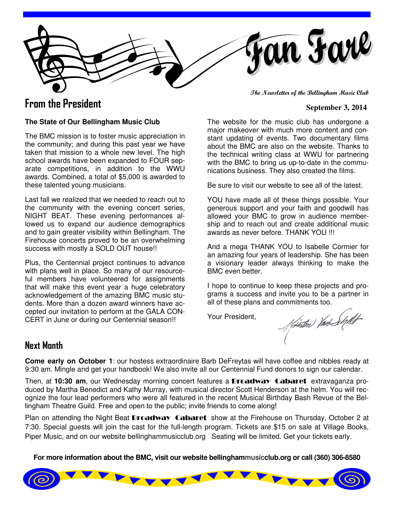fan Farl

# **From the President** September 3, 2014

**The Newsletter of the Bellingham Music Club** 

#### **The State of Our Bellingham Music Club**

The BMC mission is to foster music appreciation in the community; and during this past year we have taken that mission to a whole new level. The high school awards have been expanded to FOUR separate competitions, in addition to the WWU awards. Combined, a total of \$5,000 is awarded to these talented young musicians.

Last fall we realized that we needed to reach out to the community with the evening concert series, NIGHT BEAT. These evening performances allowed us to expand our audience demographics and to gain greater visibility within Bellingham. The Firehouse concerts proved to be an overwhelming success with mostly a SOLD OUT house!!

Plus, the Centennial project continues to advance with plans well in place. So many of our resourceful members have volunteered for assignments that will make this event year a huge celebratory acknowledgement of the amazing BMC music students. More than a dozen award winners have accepted our invitation to perform at the GALA CON-CERT in June or during our Centennial season!!

The website for the music club has undergone a major makeover with much more content and constant updating of events. Two documentary films about the BMC are also on the website. Thanks to the technical writing class at WWU for partnering with the BMC to bring us up-to-date in the communications business. They also created the films.

Be sure to visit our website to see all of the latest.

YOU have made all of these things possible. Your generous support and your faith and goodwill has allowed your BMC to grow in audience membership and to reach out and create additional music awards as never before. THANK YOU !!!

And a mega THANK YOU to Isabelle Cormier for an amazing four years of leadership. She has been a visionary leader always thinking to make the BMC even better.

I hope to continue to keep these projects and programs a success and invite you to be a partner in

Your President,

all of these plans and commitments too.<br>Your President,<br>Artisting Man Sepult

### **Next Month**

**Come early on October 1**: our hostess extraordinaire Barb DeFreytas will have coffee and nibbles ready at 9:30 am. Mingle and get your handbook! We also invite all our Centennial Fund donors to sign our calendar.

Then, at **10:30 am**, our Wednesday morning concert features a Broadway Cabaret extravaganza produced by Martha Benedict and Kathy Murray, with musical director Scott Henderson at the helm. You will recognize the four lead performers who were all featured in the recent Musical Birthday Bash Revue of the Bellingham Theatre Guild. Free and open to the public; invite friends to come along!

Plan on attending the Night Beat **Broadway Cabaret** show at the Firehouse on Thursday, October 2 at 7:30. Special guests will join the cast for the full-length program. Tickets are \$15 on sale at Village Books, Piper Music, and on our website bellinghammusicclub.org Seating will be limited. Get your tickets early.

**For more information about the BMC, visit our website bellinghammusicclub.org or call (360) 306-8580** 

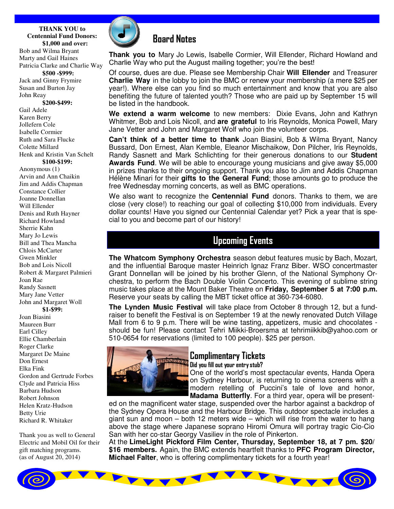**THANK YOU to Centennial Fund Donors: \$1,000 and over:** Bob and Wilma Bryant

Marty and Gail Haines Patricia Clarke and Charlie Way **\$500 -\$999:** Jack and Ginny Frymire

Susan and Burton Jay John Reay

**\$200-\$499:** Gail Adele Karen Berry Jollefern Cole Isabelle Cormier Ruth and Sara Flucke Colette Millard

Henk and Kristin Van Schelt

#### **\$100-\$199:**

Anonymous (1) Arvin and Ann Chaikin Jim and Addis Chapman Constance Collier Joanne Donnellan Will Ellender Denis and Ruth Hayner Richard Howland Sherrie Kahn Mary Jo Lewis Bill and Thea Mancha Chlois McCarter Gwen Minkler Bob and Lois Nicoll Robert & Margaret Palmieri Joan Rae Randy Sasnett Mary Jane Vetter John and Margaret Woll **\$1-\$99:**

Joan Biasini Maureen Burr Earl Cilley Ellie Chamberlain Roger Clarke Margaret De Maine Don Ernest Elka Fink Gordon and Gertrude Forbes Clyde and Patricia Hiss Barbara Hudson Robert Johnson Helen Kratz-Hudson Betty Urie Richard R. Whitaker

Thank you as well to General Electric and Mobil Oil for their gift matching programs. (as of August 20, 2014)



## **Board Notes**

**Thank you to** Mary Jo Lewis, Isabelle Cormier, Will Ellender, Richard Howland and Charlie Way who put the August mailing together; you're the best!

Of course, dues are due. Please see Membership Chair **Will Ellender** and Treasurer **Charlie Way** in the lobby to join the BMC or renew your membership (a mere \$25 per year!). Where else can you find so much entertainment and know that you are also benefiting the future of talented youth? Those who are paid up by September 15 will be listed in the handbook.

**We extend a warm welcome** to new members: Dixie Evans, John and Kathryn Whitmer, Bob and Lois Nicoll, and **are grateful** to Iris Reynolds, Monica Powell, Mary Jane Vetter and John and Margaret Wolf who join the volunteer corps.

**Can't think of a better time to thank** Joan Biasini, Bob & Wilma Bryant, Nancy Bussard, Don Ernest, Alan Kemble, Eleanor Mischaikow, Don Pilcher, Iris Reynolds, Randy Sasnett and Mark Schlichting for their generous donations to our **Student Awards Fund**. We will be able to encourage young musicians and give away \$5,000 in prizes thanks to their ongoing support. Thank you also to Jim and Addis Chapman Hélène Minari for their **gifts to the General Fund**; those amounts go to produce the free Wednesday morning concerts, as well as BMC operations.

We also want to recognize the **Centennial Fund** donors. Thanks to them, we are close (very close!) to reaching our goal of collecting \$10,000 from individuals. Every dollar counts! Have you signed our Centennial Calendar yet? Pick a year that is special to you and become part of our history!

## **Upcoming Events**

**The Whatcom Symphony Orchestra** season debut features music by Bach, Mozart, and the influential Baroque master Heinrich Ignaz Franz Biber. WSO concertmaster Grant Donnellan will be joined by his brother Glenn, of the National Symphony Orchestra, to perform the Bach Double Violin Concerto. This evening of sublime string music takes place at the Mount Baker Theatre on **Friday, September 5 at 7:00 p.m.** Reserve your seats by calling the MBT ticket office at 360-734-6080.

**The Lynden Music Festival** will take place from October 8 through 12, but a fundraiser to benefit the Festival is on September 19 at the newly renovated Dutch Village Mall from 6 to 9 p.m. There will be wine tasting, appetizers, music and chocolates should be fun! Please contact Tehri Miikki-Broersma at tehrimiikkib@yahoo.com or 510-0654 for reservations (limited to 100 people). \$25 per person.



### **Complimentary Tickets**

**Did you fill out your entry stub?**

One of the world's most spectacular events, Handa Opera on Sydney Harbour, is returning to cinema screens with a modern retelling of Puccini's tale of love and honor, **Madama Butterfly**. For a third year, opera will be present-

ed on the magnificent water stage, suspended over the harbor against a backdrop of the Sydney Opera House and the Harbour Bridge. This outdoor spectacle includes a giant sun and moon – both 12 meters wide – which will rise from the water to hang above the stage where Japanese soprano Hiromi Omura will portray tragic Cio-Cio San with her co-star Georgy Vasiliev in the role of Pinkerton.

At the **LimeLight Pickford Film Center, Thursday, September 18, at 7 pm. \$20/ \$16 members.** Again, the BMC extends heartfelt thanks to **PFC Program Director, Michael Falter**, who is offering complimentary tickets for a fourth year!

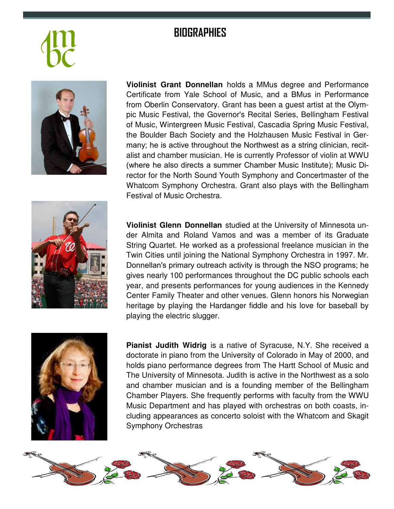## **BIOGRAPHIES**



**Violinist Grant Donnellan** holds a MMus degree and Performance Certificate from Yale School of Music, and a BMus in Performance from Oberlin Conservatory. Grant has been a guest artist at the Olympic Music Festival, the Governor's Recital Series, Bellingham Festival of Music, Wintergreen Music Festival, Cascadia Spring Music Festival, the Boulder Bach Society and the Holzhausen Music Festival in Germany; he is active throughout the Northwest as a string clinician, recitalist and chamber musician. He is currently Professor of violin at WWU (where he also directs a summer Chamber Music Institute); Music Director for the North Sound Youth Symphony and Concertmaster of the Whatcom Symphony Orchestra. Grant also plays with the Bellingham Festival of Music Orchestra.



**Violinist Glenn Donnellan** studied at the University of Minnesota under Almita and Roland Vamos and was a member of its Graduate String Quartet. He worked as a professional freelance musician in the Twin Cities until joining the National Symphony Orchestra in 1997. Mr. Donnellan's primary outreach activity is through the NSO programs; he gives nearly 100 performances throughout the DC public schools each year, and presents performances for young audiences in the Kennedy Center Family Theater and other venues. Glenn honors his Norwegian heritage by playing the Hardanger fiddle and his love for baseball by playing the electric slugger.



**Pianist Judith Widrig** is a native of Syracuse, N.Y. She received a doctorate in piano from the University of Colorado in May of 2000, and holds piano performance degrees from The Hartt School of Music and The University of Minnesota. Judith is active in the Northwest as a solo and chamber musician and is a founding member of the Bellingham Chamber Players. She frequently performs with faculty from the WWU Music Department and has played with orchestras on both coasts, including appearances as concerto soloist with the Whatcom and Skagit Symphony Orchestras